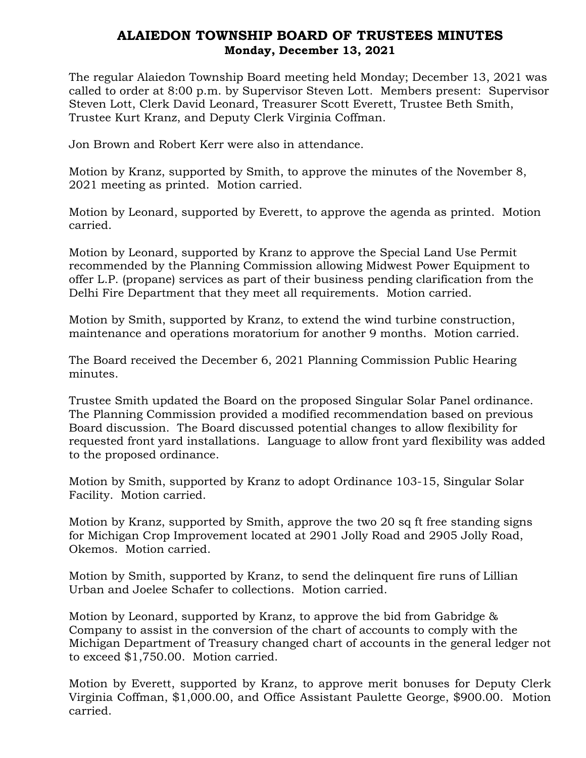## ALAIEDON TOWNSHIP BOARD OF TRUSTEES MINUTES Monday, December 13, 2021

The regular Alaiedon Township Board meeting held Monday; December 13, 2021 was called to order at 8:00 p.m. by Supervisor Steven Lott. Members present: Supervisor Steven Lott, Clerk David Leonard, Treasurer Scott Everett, Trustee Beth Smith, Trustee Kurt Kranz, and Deputy Clerk Virginia Coffman.

Jon Brown and Robert Kerr were also in attendance.

Motion by Kranz, supported by Smith, to approve the minutes of the November 8, 2021 meeting as printed. Motion carried.

Motion by Leonard, supported by Everett, to approve the agenda as printed. Motion carried.

Motion by Leonard, supported by Kranz to approve the Special Land Use Permit recommended by the Planning Commission allowing Midwest Power Equipment to offer L.P. (propane) services as part of their business pending clarification from the Delhi Fire Department that they meet all requirements. Motion carried.

Motion by Smith, supported by Kranz, to extend the wind turbine construction, maintenance and operations moratorium for another 9 months. Motion carried.

The Board received the December 6, 2021 Planning Commission Public Hearing minutes.

Trustee Smith updated the Board on the proposed Singular Solar Panel ordinance. The Planning Commission provided a modified recommendation based on previous Board discussion. The Board discussed potential changes to allow flexibility for requested front yard installations. Language to allow front yard flexibility was added to the proposed ordinance.

Motion by Smith, supported by Kranz to adopt Ordinance 103-15, Singular Solar Facility. Motion carried.

Motion by Kranz, supported by Smith, approve the two 20 sq ft free standing signs for Michigan Crop Improvement located at 2901 Jolly Road and 2905 Jolly Road, Okemos. Motion carried.

Motion by Smith, supported by Kranz, to send the delinquent fire runs of Lillian Urban and Joelee Schafer to collections. Motion carried.

Motion by Leonard, supported by Kranz, to approve the bid from Gabridge & Company to assist in the conversion of the chart of accounts to comply with the Michigan Department of Treasury changed chart of accounts in the general ledger not to exceed \$1,750.00. Motion carried.

Motion by Everett, supported by Kranz, to approve merit bonuses for Deputy Clerk Virginia Coffman, \$1,000.00, and Office Assistant Paulette George, \$900.00. Motion carried.